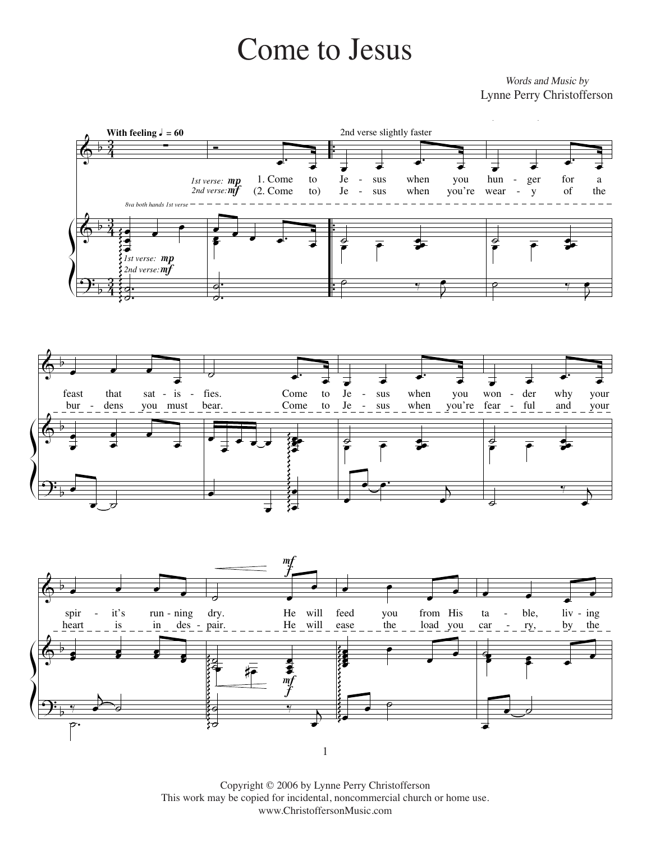## Come to Jesus Come to Jesus

Lynne Perry Christofferson Words and Music by







 $\text{Copy right} \otimes \text{2000}$  by Lynne Perry Christofferson This work may be copied for incidental, noncommercial church or home use.<br>
U.S.A. All Rights Copyrights Copyrights Copyrights Copyrights Copyrights Copyrights Copyrights Copyrights Copyrights Copyrights Copyrights Copyrigh Copyright © 2006 by Lynne Perry Christofferson www.ChristoffersonMusic.com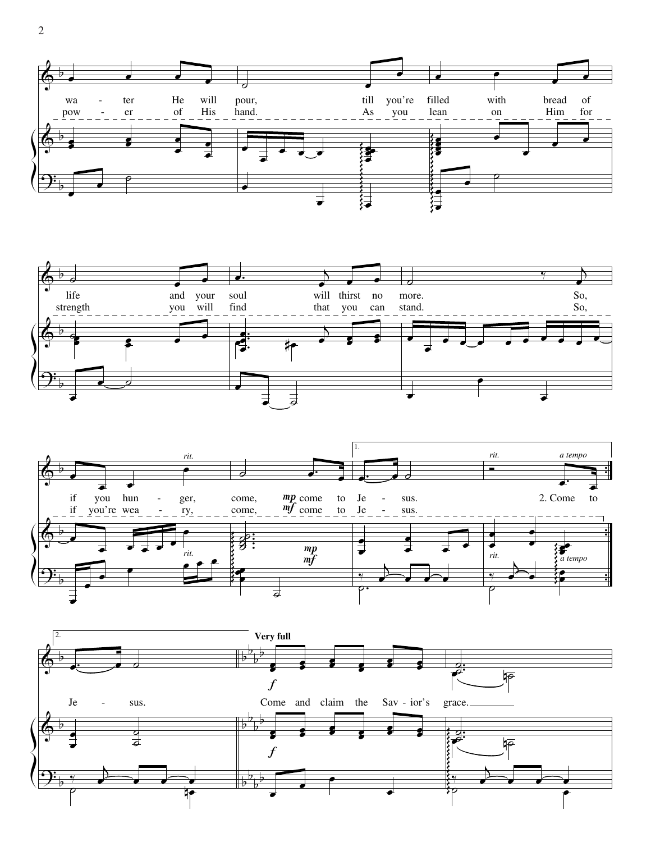





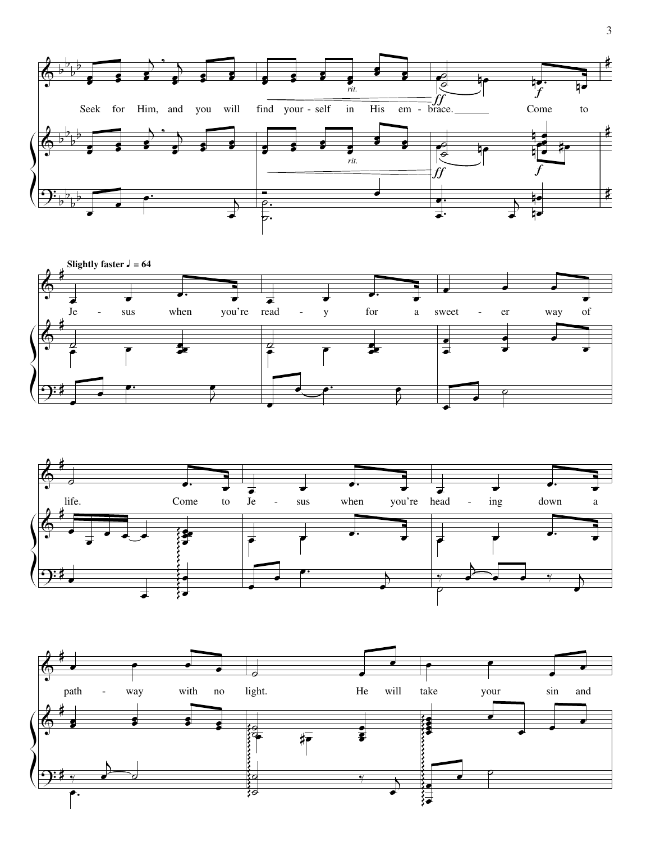